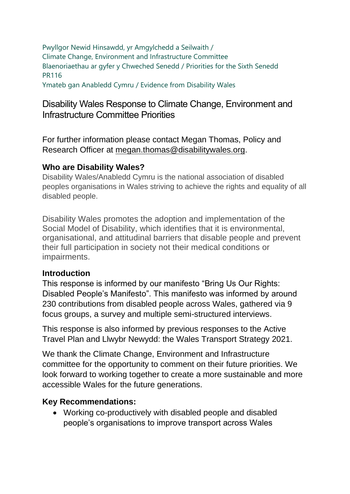Pwyllgor Newid Hinsawdd, yr Amgylchedd a Seilwaith / Climate Change, Environment and Infrastructure Committee Blaenoriaethau ar gyfer y Chweched Senedd / Priorities for the Sixth Senedd PR116

Ymateb gan Anabledd Cymru / Evidence from Disability Wales

### Disability Wales Response to Climate Change, Environment and Infrastructure Committee Priorities

For further information please contact Megan Thomas, Policy and Research Officer at [megan.thomas@disabilitywales.org.](mailto:megan.thomas@disabilitywales.org)

#### **Who are Disability Wales?**

Disability Wales/Anabledd Cymru is the national association of disabled peoples organisations in Wales striving to achieve the rights and equality of all disabled people.

Disability Wales promotes the adoption and implementation of the Social Model of Disability, which identifies that it is environmental, organisational, and attitudinal barriers that disable people and prevent their full participation in society not their medical conditions or impairments.

#### **Introduction**

This response is informed by our manifesto "Bring Us Our Rights: Disabled People's Manifesto". This manifesto was informed by around 230 contributions from disabled people across Wales, gathered via 9 focus groups, a survey and multiple semi-structured interviews.

This response is also informed by previous responses to the Active Travel Plan and Llwybr Newydd: the Wales Transport Strategy 2021.

We thank the Climate Change, Environment and Infrastructure committee for the opportunity to comment on their future priorities. We look forward to working together to create a more sustainable and more accessible Wales for the future generations.

#### **Key Recommendations:**

• Working co-productively with disabled people and disabled people's organisations to improve transport across Wales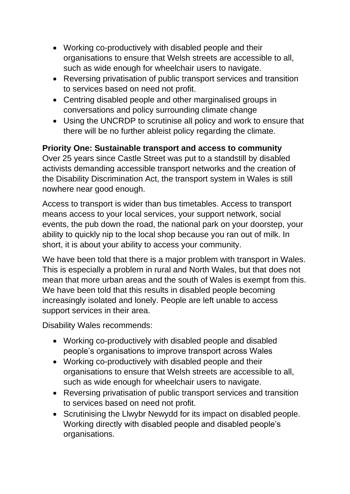- Working co-productively with disabled people and their organisations to ensure that Welsh streets are accessible to all, such as wide enough for wheelchair users to navigate.
- Reversing privatisation of public transport services and transition to services based on need not profit.
- Centring disabled people and other marginalised groups in conversations and policy surrounding climate change
- Using the UNCRDP to scrutinise all policy and work to ensure that there will be no further ableist policy regarding the climate.

# **Priority One: Sustainable transport and access to community**

Over 25 years since Castle Street was put to a standstill by disabled activists demanding accessible transport networks and the creation of the Disability Discrimination Act, the transport system in Wales is still nowhere near good enough.

Access to transport is wider than bus timetables. Access to transport means access to your local services, your support network, social events, the pub down the road, the national park on your doorstep, your ability to quickly nip to the local shop because you ran out of milk. In short, it is about your ability to access your community.

We have been told that there is a major problem with transport in Wales. This is especially a problem in rural and North Wales, but that does not mean that more urban areas and the south of Wales is exempt from this. We have been told that this results in disabled people becoming increasingly isolated and lonely. People are left unable to access support services in their area.

Disability Wales recommends:

- Working co-productively with disabled people and disabled people's organisations to improve transport across Wales
- Working co-productively with disabled people and their organisations to ensure that Welsh streets are accessible to all, such as wide enough for wheelchair users to navigate.
- Reversing privatisation of public transport services and transition to services based on need not profit.
- Scrutinising the Llwybr Newydd for its impact on disabled people. Working directly with disabled people and disabled people's organisations.